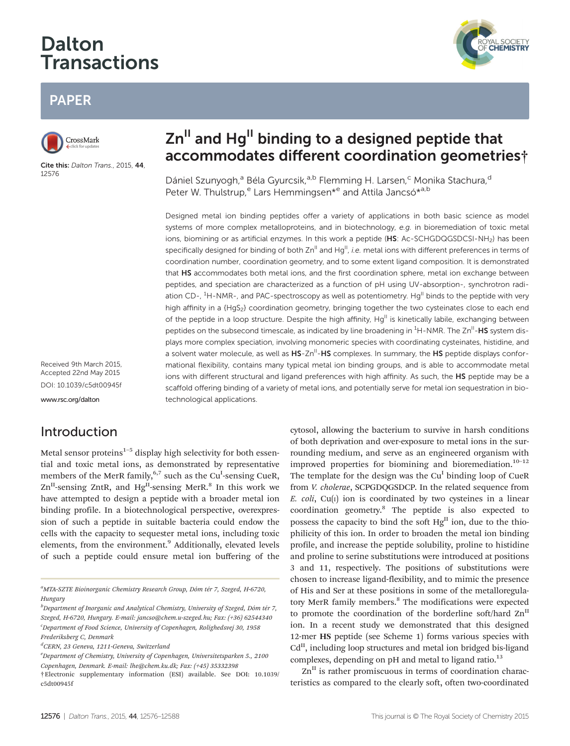# Dalton **Transactions**



## PAPER



Cite this: Dalton Trans., 2015, 44, 12576

# $Zn<sup>II</sup>$  and Hg<sup>II</sup> binding to a designed peptide that accommodates different coordination geometries†

Dániel Szunyogh,<sup>a</sup> Béla Gyurcsik,<sup>a,b</sup> Flemming H. Larsen,<sup>c</sup> Monika Stachura,<sup>d</sup> Peter W. Thulstrup,<sup>e</sup> Lars Hemmingsen<sup>\*e</sup> and Attila Jancsó<sup>\*a,b</sup>

Designed metal ion binding peptides offer a variety of applications in both basic science as model systems of more complex metalloproteins, and in biotechnology, e.g. in bioremediation of toxic metal ions, biomining or as artificial enzymes. In this work a peptide (HS: Ac-SCHGDQGSDCSI-NH<sub>2</sub>) has been specifically designed for binding of both  $\text{Zn}^{\text{II}}$  and  $\text{Hg}^{\text{II}}$ , i.e. metal ions with different preferences in terms of coordination number, coordination geometry, and to some extent ligand composition. It is demonstrated that HS accommodates both metal ions, and the first coordination sphere, metal ion exchange between peptides, and speciation are characterized as a function of pH using UV-absorption-, synchrotron radiation CD-, <sup>1</sup>H-NMR-, and PAC-spectroscopy as well as potentiometry. Hg<sup>II</sup> binds to the peptide with very high affinity in a {HgS<sub>2</sub>} coordination geometry, bringing together the two cysteinates close to each end of the peptide in a loop structure. Despite the high affinity,  $Hg^{II}$  is kinetically labile, exchanging between peptides on the subsecond timescale, as indicated by line broadening in <sup>1</sup>H-NMR. The Zn<sup>II</sup>-HS system displays more complex speciation, involving monomeric species with coordinating cysteinates, histidine, and a solvent water molecule, as well as HS-Zn<sup>II</sup>-HS complexes. In summary, the HS peptide displays conformational flexibility, contains many typical metal ion binding groups, and is able to accommodate metal ions with different structural and ligand preferences with high affinity. As such, the HS peptide may be a scaffold offering binding of a variety of metal ions, and potentially serve for metal ion sequestration in biotechnological applications.

Received 9th March 2015, Accepted 22nd May 2015 DOI: 10.1039/c5dt00945f

<www.rsc.org/dalton>

## Introduction

Metal sensor proteins $1-5$  display high selectivity for both essential and toxic metal ions, as demonstrated by representative members of the MerR family, <sup>6,7</sup> such as the Cu<sup>I</sup>-sensing CueR,  $Zn<sup>H</sup>$ -sensing ZntR, and Hg<sup>II</sup>-sensing MerR.<sup>8</sup> In this work we have attempted to design a peptide with a broader metal ion binding profile. In a biotechnological perspective, overexpression of such a peptide in suitable bacteria could endow the cells with the capacity to sequester metal ions, including toxic elements, from the environment.<sup>9</sup> Additionally, elevated levels of such a peptide could ensure metal ion buffering of the

<sup>a</sup>MTA-SZTE Bioinorganic Chemistry Research Group, Dóm tér 7, Szeged, H-6720, Hungary

d CERN, 23 Geneva, 1211-Geneva, Switzerland

cytosol, allowing the bacterium to survive in harsh conditions of both deprivation and over-exposure to metal ions in the surrounding medium, and serve as an engineered organism with improved properties for biomining and bioremediation.<sup>10-12</sup> The template for the design was the  $Cu<sup>I</sup>$  binding loop of CueR from V. cholerae, SCPGDQGSDCP. In the related sequence from  $E.$  coli, Cu(I) ion is coordinated by two cysteines in a linear coordination geometry.8 The peptide is also expected to possess the capacity to bind the soft  $Hg<sup>H</sup>$  ion, due to the thiophilicity of this ion. In order to broaden the metal ion binding profile, and increase the peptide solubility, proline to histidine and proline to serine substitutions were introduced at positions 3 and 11, respectively. The positions of substitutions were chosen to increase ligand-flexibility, and to mimic the presence of His and Ser at these positions in some of the metalloregulatory MerR family members.<sup>8</sup> The modifications were expected to promote the coordination of the borderline soft/hard  $\text{Zn}^{\text{II}}$ ion. In a recent study we demonstrated that this designed 12-mer HS peptide (see Scheme 1) forms various species with  $Cd<sup>II</sup>$ , including loop structures and metal ion bridged bis-ligand complexes, depending on pH and metal to ligand ratio.<sup>13</sup>

 $Zn<sup>II</sup>$  is rather promiscuous in terms of coordination characteristics as compared to the clearly soft, often two-coordinated

 $^b$ Department of Inorganic and Analytical Chemistry, University of Szeged, Dóm tér 7, Szeged, H-6720, Hungary. E-mail: jancso@chem.u-szeged.hu; Fax: (+36) 62544340 <sup>c</sup>Department of Food Science, University of Copenhagen, Rolighedsvej 30, 1958 Frederiksberg C, Denmark

<sup>&</sup>lt;sup>e</sup> Department of Chemistry, University of Copenhagen, Universitetsparken 5., 2100

Copenhagen, Denmark. E-mail: lhe@chem.ku.dk; Fax: (+45) 35332398

<sup>†</sup>Electronic supplementary information (ESI) available. See DOI: 10.1039/ c5dt00945f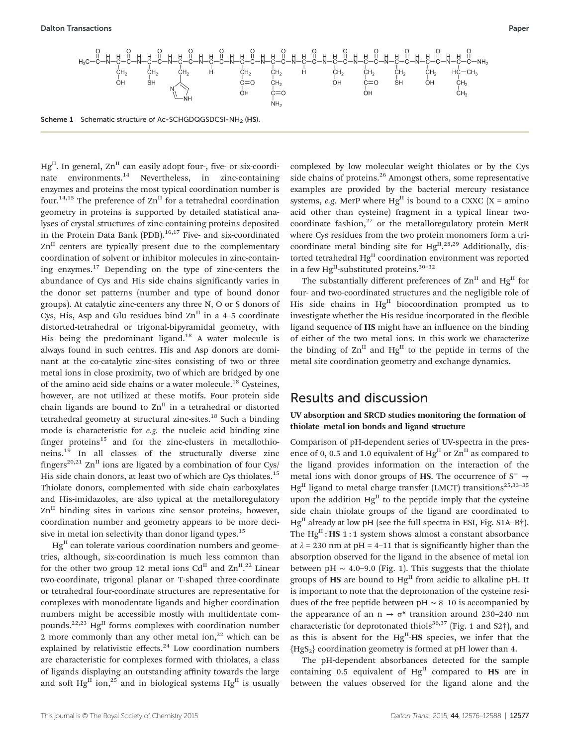Scheme 1 Schematic structure of Ac-SCHGDQGSDCSI-NH<sub>2</sub> (HS).

 $Hg<sup>II</sup>$ . In general,  $Zn<sup>II</sup>$  can easily adopt four-, five- or six-coordinate environments.<sup>14</sup> Nevertheless, in zinc-containing enzymes and proteins the most typical coordination number is four.<sup>14,15</sup> The preference of  $\text{Zn}^{\text{II}}$  for a tetrahedral coordination geometry in proteins is supported by detailed statistical analyses of crystal structures of zinc-containing proteins deposited in the Protein Data Bank (PDB). $16,17$  Five- and six-coordinated  $Zn<sup>II</sup>$  centers are typically present due to the complementary coordination of solvent or inhibitor molecules in zinc-containing enzymes.<sup>17</sup> Depending on the type of zinc-centers the abundance of Cys and His side chains significantly varies in the donor set patterns (number and type of bound donor groups). At catalytic zinc-centers any three N, O or S donors of Cys, His, Asp and Glu residues bind  $\text{Zn}^{\text{II}}$  in a 4–5 coordinate distorted-tetrahedral or trigonal-bipyramidal geometry, with His being the predominant ligand.<sup>18</sup> A water molecule is always found in such centres. His and Asp donors are dominant at the co-catalytic zinc-sites consisting of two or three metal ions in close proximity, two of which are bridged by one of the amino acid side chains or a water molecule.<sup>18</sup> Cysteines, however, are not utilized at these motifs. Four protein side chain ligands are bound to  $\text{Zn}^{\text{II}}$  in a tetrahedral or distorted tetrahedral geometry at structural zinc-sites.<sup>18</sup> Such a binding mode is characteristic for e.g. the nucleic acid binding zinc finger proteins $15$  and for the zinc-clusters in metallothioneins.<sup>19</sup> In all classes of the structurally diverse zinc fingers<sup>20,21</sup> Zn<sup>II</sup> ions are ligated by a combination of four Cys/ His side chain donors, at least two of which are Cys thiolates.<sup>15</sup> Thiolate donors, complemented with side chain carboxylates and His-imidazoles, are also typical at the metalloregulatory  $Zn<sup>II</sup>$  binding sites in various zinc sensor proteins, however, coordination number and geometry appears to be more decisive in metal ion selectivity than donor ligand types.<sup>15</sup>

 $Hg<sup>II</sup>$  can tolerate various coordination numbers and geometries, although, six-coordination is much less common than for the other two group 12 metal ions  $Cd<sup>II</sup>$  and  $Zn<sup>II,22</sup>$  Linear two-coordinate, trigonal planar or T-shaped three-coordinate or tetrahedral four-coordinate structures are representative for complexes with monodentate ligands and higher coordination numbers might be accessible mostly with multidentate compounds.<sup>22,23</sup> Hg<sup>II</sup> forms complexes with coordination number 2 more commonly than any other metal ion, $2^2$  which can be explained by relativistic effects.<sup>24</sup> Low coordination numbers are characteristic for complexes formed with thiolates, a class of ligands displaying an outstanding affinity towards the large and soft Hg<sup>II</sup> ion,<sup>25</sup> and in biological systems Hg<sup>II</sup> is usually

complexed by low molecular weight thiolates or by the Cys side chains of proteins.<sup>26</sup> Amongst others, some representative examples are provided by the bacterial mercury resistance systems, *e.g.* MerP where  $Hg<sup>H</sup>$  is bound to a CXXC (X = amino acid other than cysteine) fragment in a typical linear twocoordinate fashion, $27$  or the metalloregulatory protein MerR where Cys residues from the two protein monomers form a tricoordinate metal binding site for Hg<sup>II</sup>.<sup>28,29</sup> Additionally, distorted tetrahedral Hg<sup>II</sup> coordination environment was reported in a few Hg<sup>II</sup>-substituted proteins.<sup>30-32</sup>

The substantially different preferences of  $\text{Zn}^{\text{II}}$  and  $\text{Hg}^{\text{II}}$  for four- and two-coordinated structures and the negligible role of His side chains in  $Hg<sup>H</sup>$  biocoordination prompted us to investigate whether the His residue incorporated in the flexible ligand sequence of HS might have an influence on the binding of either of the two metal ions. In this work we characterize the binding of  $\text{Zn}^{\text{II}}$  and  $\text{Hg}^{\text{II}}$  to the peptide in terms of the metal site coordination geometry and exchange dynamics.

### Results and discussion

### UV absorption and SRCD studies monitoring the formation of thiolate–metal ion bonds and ligand structure

Comparison of pH-dependent series of UV-spectra in the presence of 0, 0.5 and 1.0 equivalent of  $Hg<sup>H</sup>$  or  $Zn<sup>H</sup>$  as compared to the ligand provides information on the interaction of the metal ions with donor groups of HS. The occurrence of  $S^- \rightarrow$  $Hg<sup>II</sup>$  ligand to metal charge transfer (LMCT) transitions<sup>25,33-35</sup> upon the addition  $Hg<sup>H</sup>$  to the peptide imply that the cysteine side chain thiolate groups of the ligand are coordinated to  $Hg<sup>H</sup>$  already at low pH (see the full spectra in ESI, Fig. S1A–B†). The  $Hg<sup>II</sup>$ : HS 1:1 system shows almost a constant absorbance at  $\lambda$  = 230 nm at pH = 4–11 that is significantly higher than the absorption observed for the ligand in the absence of metal ion between pH  $\sim$  4.0–9.0 (Fig. 1). This suggests that the thiolate groups of  $\text{HS}$  are bound to  $\text{Hg}^{\text{II}}$  from acidic to alkaline pH. It is important to note that the deprotonation of the cysteine residues of the free peptide between pH  $\sim$  8–10 is accompanied by the appearance of an  $n \rightarrow \sigma^*$  transition around 230–240 nm characteristic for deprotonated thiols<sup>36,37</sup> (Fig. 1 and S2<sup>†</sup>), and as this is absent for the  $Hg<sup>H</sup>$ -HS species, we infer that the  ${Hgs<sub>2</sub>}$  coordination geometry is formed at pH lower than 4.

The pH-dependent absorbances detected for the sample containing 0.5 equivalent of  $Hg<sup>H</sup>$  compared to HS are in between the values observed for the ligand alone and the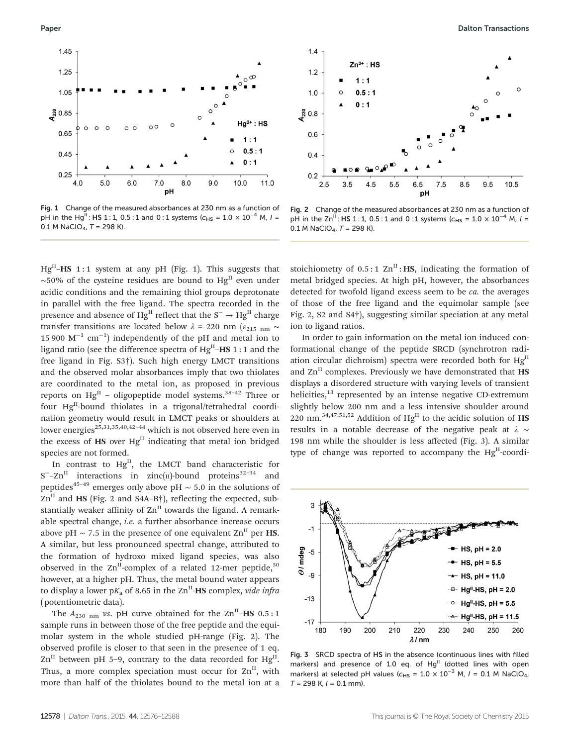

Fig. 1 Change of the measured absorbances at 230 nm as a function of pH in the Hg<sup>II</sup> : HS 1 : 1, 0.5 : 1 and 0 : 1 systems ( $c_{HS} = 1.0 \times 10^{-4}$  M,  $I =$ 0.1 M NaClO<sub>4</sub>,  $T = 298$  K).

 $Hg^{II}-HS$  1:1 system at any pH (Fig. 1). This suggests that  $~\sim$ 50% of the cysteine residues are bound to Hg<sup>II</sup> even under acidic conditions and the remaining thiol groups deprotonate in parallel with the free ligand. The spectra recorded in the presence and absence of Hg<sup>II</sup> reflect that the S<sup>−</sup> → Hg<sup>II</sup> charge transfer transitions are located below  $\lambda$  = 220 nm ( $\varepsilon_{215\; nm}$  ~ 15 900  $M^{-1}$  cm<sup>-1</sup>) independently of the pH and metal ion to ligand ratio (see the difference spectra of  $Hg^{II}-HS$  1 : 1 and the free ligand in Fig. S3†). Such high energy LMCT transitions and the observed molar absorbances imply that two thiolates are coordinated to the metal ion, as proposed in previous reports on  $Hg<sup>H</sup>$  – oligopeptide model systems.<sup>38-42</sup> Three or four Hg<sup>II</sup>-bound thiolates in a trigonal/tetrahedral coordination geometry would result in LMCT peaks or shoulders at lower energies<sup>25,31,35,40,42-44</sup> which is not observed here even in the excess of  $\text{HS}$  over  $\text{Hg}^{\text{II}}$  indicating that metal ion bridged species are not formed.

In contrast to  $Hg<sup>II</sup>$ , the LMCT band characteristic for  $S^-$ –Zn<sup>II</sup> interactions in zinc(II)-bound proteins<sup>32–34</sup> and peptides<sup>45–49</sup> emerges only above pH  $\sim$  5.0 in the solutions of  $Zn^{II}$  and HS (Fig. 2 and S4A-B $\dagger$ ), reflecting the expected, substantially weaker affinity of  $\text{Zn}^{\text{II}}$  towards the ligand. A remarkable spectral change, i.e. a further absorbance increase occurs above pH ~ 7.5 in the presence of one equivalent  $\text{Zn}^{\text{II}}$  per **HS.** A similar, but less pronounced spectral change, attributed to the formation of hydroxo mixed ligand species, was also observed in the  $\text{Zn}^{\text{II}}$ -complex of a related 12-mer peptide,<sup>50</sup> however, at a higher pH. Thus, the metal bound water appears to display a lower  $pK_a$  of 8.65 in the  $\text{Zn}^{\text{II}}$ -HS complex, vide infra (potentiometric data).

The  $A_{230 \text{ nm}}$  vs. pH curve obtained for the  $\text{Zn}^{\text{II}}$ –HS 0.5:1 sample runs in between those of the free peptide and the equimolar system in the whole studied pH-range (Fig. 2). The observed profile is closer to that seen in the presence of 1 eq.  $\text{Zn}^{\text{II}}$  between pH 5–9, contrary to the data recorded for Hg<sup>II</sup>. Thus, a more complex speciation must occur for  $Zn^{II}$ , with more than half of the thiolates bound to the metal ion at a



Fig. 2 Change of the measured absorbances at 230 nm as a function of pH in the Zn<sup>II</sup> : HS 1 : 1, 0.5 : 1 and 0 : 1 systems ( $c_{HS} = 1.0 \times 10^{-4}$  M,  $I =$ 0.1 M NaClO<sub>4</sub>,  $T = 298$  K).

stoichiometry of  $0.5:1$  Zn<sup>II</sup>: HS, indicating the formation of metal bridged species. At high pH, however, the absorbances detected for twofold ligand excess seem to be ca. the averages of those of the free ligand and the equimolar sample (see Fig. 2, S2 and S4†), suggesting similar speciation at any metal ion to ligand ratios.

In order to gain information on the metal ion induced conformational change of the peptide SRCD (synchrotron radiation circular dichroism) spectra were recorded both for  $Hg<sup>H</sup>$ and  $\text{Zn}^{\text{II}}$  complexes. Previously we have demonstrated that  $\text{HS}$ displays a disordered structure with varying levels of transient helicities,<sup>13</sup> represented by an intense negative CD-extremum slightly below 200 nm and a less intensive shoulder around 220 nm.<sup>34,47,51,52</sup> Addition of  $Hg<sup>II</sup>$  to the acidic solution of HS results in a notable decrease of the negative peak at  $\lambda \sim$ 198 nm while the shoulder is less affected (Fig. 3). A similar type of change was reported to accompany the Hg<sup>II</sup>-coordi-



Fig. 3 SRCD spectra of HS in the absence (continuous lines with filled markers) and presence of 1.0 eq. of Hg<sup>II</sup> (dotted lines with open markers) at selected pH values ( $c_{HS} = 1.0 \times 10^{-3}$  M,  $I = 0.1$  M NaClO<sub>4</sub>,  $T = 298$  K,  $l = 0.1$  mm).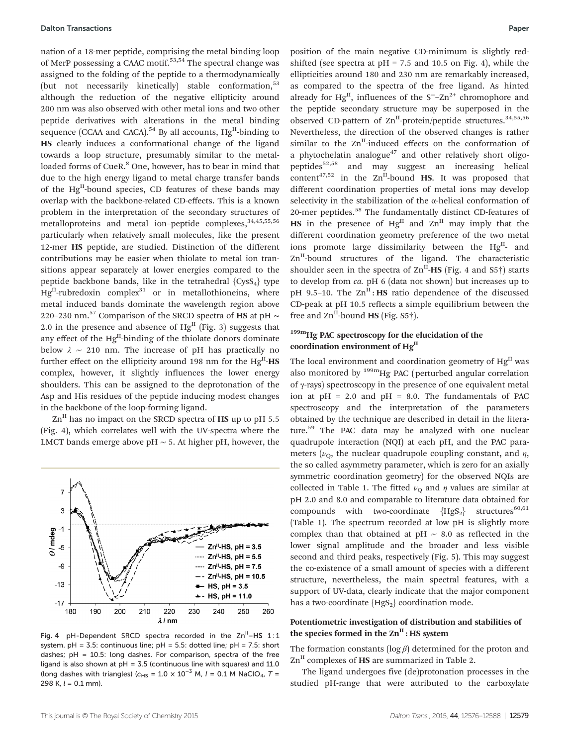nation of a 18-mer peptide, comprising the metal binding loop of MerP possessing a CAAC motif.<sup>53,54</sup> The spectral change was assigned to the folding of the peptide to a thermodynamically (but not necessarily kinetically) stable conformation,<sup>53</sup> although the reduction of the negative ellipticity around 200 nm was also observed with other metal ions and two other peptide derivatives with alterations in the metal binding sequence (CCAA and CACA).<sup>54</sup> By all accounts,  $Hg<sup>H</sup>$ -binding to HS clearly induces a conformational change of the ligand towards a loop structure, presumably similar to the metalloaded forms of CueR.<sup>8</sup> One, however, has to bear in mind that due to the high energy ligand to metal charge transfer bands of the Hg<sup>II</sup>-bound species, CD features of these bands may overlap with the backbone-related CD-effects. This is a known problem in the interpretation of the secondary structures of metalloproteins and metal ion-peptide complexes, 34,45,55,56 particularly when relatively small molecules, like the present 12-mer HS peptide, are studied. Distinction of the different contributions may be easier when thiolate to metal ion transitions appear separately at lower energies compared to the peptide backbone bands, like in the tetrahedral  ${C<sub>VS<sub>4</sub>}</sub>$  type  $Hg<sup>II</sup>$ -rubredoxin complex<sup>31</sup> or in metallothioneins, where metal induced bands dominate the wavelength region above 220–230 nm.<sup>57</sup> Comparison of the SRCD spectra of HS at pH  $\sim$ 2.0 in the presence and absence of  $Hg<sup>II</sup>$  (Fig. 3) suggests that any effect of the Hg<sup>II</sup>-binding of the thiolate donors dominate below  $\lambda \sim 210$  nm. The increase of pH has practically no further effect on the ellipticity around 198 nm for the  $Hg<sup>H</sup>$ -HS complex, however, it slightly influences the lower energy shoulders. This can be assigned to the deprotonation of the Asp and His residues of the peptide inducing modest changes in the backbone of the loop-forming ligand.

 $\text{Zn}^{\text{II}}$  has no impact on the SRCD spectra of HS up to pH 5.5 (Fig. 4), which correlates well with the UV-spectra where the LMCT bands emerge above pH  $\sim$  5. At higher pH, however, the



Fig. 4 pH-Dependent SRCD spectra recorded in the  $Zn^{\text{II}}-$ HS 1:1 system. pH = 3.5: continuous line; pH = 5.5: dotted line; pH = 7.5: short dashes;  $pH = 10.5$ : long dashes. For comparison, spectra of the free ligand is also shown at  $pH = 3.5$  (continuous line with squares) and 11.0 (long dashes with triangles) ( $c_{\text{HS}} = 1.0 \times 10^{-3}$  M,  $I = 0.1$  M NaClO<sub>4</sub>, T = 298 K,  $l = 0.1$  mm).

position of the main negative CD-minimum is slightly redshifted (see spectra at  $pH = 7.5$  and 10.5 on Fig. 4), while the ellipticities around 180 and 230 nm are remarkably increased, as compared to the spectra of the free ligand. As hinted already for Hg<sup>II</sup>, influences of the  $S^-$ – $Zn^{2+}$  chromophore and the peptide secondary structure may be superposed in the observed CD-pattern of  $\text{Zn}^{\text{II}}$ -protein/peptide structures.<sup>34,55,56</sup> Nevertheless, the direction of the observed changes is rather similar to the  $\text{Zn}^{\text{II}}$ -induced effects on the conformation of a phytochelatin analogue $47$  and other relatively short oligopeptides<sup>52,58</sup> and may suggest an increasing helical content<sup>47,52</sup> in the  $\text{Zn}^{\text{II}}$ -bound HS. It was proposed that different coordination properties of metal ions may develop selectivity in the stabilization of the α-helical conformation of 20-mer peptides.58 The fundamentally distinct CD-features of HS in the presence of  $Hg<sup>H</sup>$  and  $Zn<sup>H</sup>$  may imply that the different coordination geometry preference of the two metal ions promote large dissimilarity between the  $Hg<sup>II</sup>$ - and  $Zn$ <sup>II</sup>-bound structures of the ligand. The characteristic shoulder seen in the spectra of  $\text{Zn}^{\text{II}}$ -HS (Fig. 4 and S5†) starts to develop from ca. pH 6 (data not shown) but increases up to pH 9.5–10. The  $\text{Zn}^{\text{II}}$ : HS ratio dependence of the discussed CD-peak at pH 10.5 reflects a simple equilibrium between the free and  $\text{Zn}^{\text{II}}$ -bound **HS** (Fig. S5†).

### 199m<sub>Hg</sub> PAC spectroscopy for the elucidation of the coordination environment of Hg<sup>II</sup>

The local environment and coordination geometry of  $Hg<sup>H</sup>$  was also monitored by <sup>199m</sup>Hg PAC (perturbed angular correlation of γ-rays) spectroscopy in the presence of one equivalent metal ion at  $pH = 2.0$  and  $pH = 8.0$ . The fundamentals of PAC spectroscopy and the interpretation of the parameters obtained by the technique are described in detail in the literature.<sup>59</sup> The PAC data may be analyzed with one nuclear quadrupole interaction (NQI) at each pH, and the PAC parameters ( $\nu_{\Omega}$ , the nuclear quadrupole coupling constant, and  $\eta$ , the so called asymmetry parameter, which is zero for an axially symmetric coordination geometry) for the observed NQIs are collected in Table 1. The fitted  $\nu_{\rm O}$  and  $\eta$  values are similar at pH 2.0 and 8.0 and comparable to literature data obtained for compounds with two-coordinate  ${HgS_2}$  structures<sup>60,61</sup> (Table 1). The spectrum recorded at low pH is slightly more complex than that obtained at pH ∼ 8.0 as reflected in the lower signal amplitude and the broader and less visible second and third peaks, respectively (Fig. 5). This may suggest the co-existence of a small amount of species with a different structure, nevertheless, the main spectral features, with a support of UV-data, clearly indicate that the major component has a two-coordinate  ${HgS_2}$  coordination mode.

### Potentiometric investigation of distribution and stabilities of the species formed in the  $\text{Zn}^{\text{II}}$  : HS system

The formation constants ( $log \beta$ ) determined for the proton and  $\text{Zn}^{\text{II}}$  complexes of HS are summarized in Table 2.

The ligand undergoes five (de)protonation processes in the studied pH-range that were attributed to the carboxylate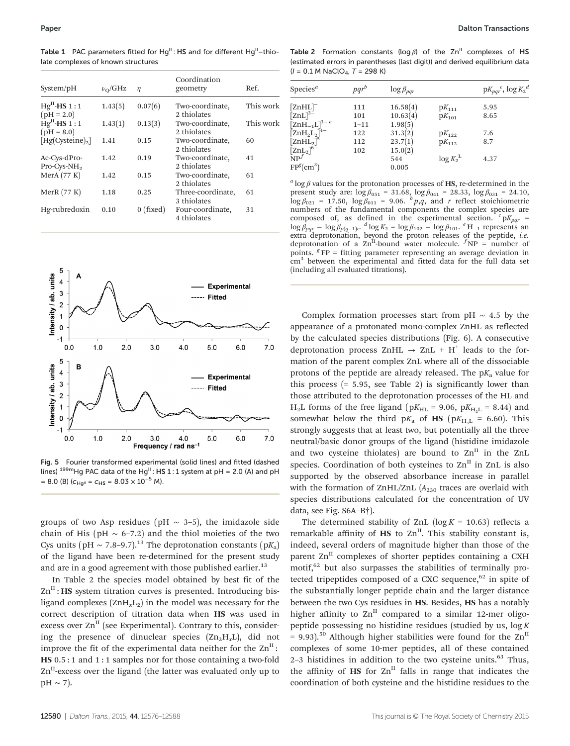Table 1 PAC parameters fitted for  $Hg^{II}$  : HS and for different  $Hg^{II}$  –thiolate complexes of known structures

| System/pH                     | $\nu_{\rm O}/\mathrm{GHz}$ | $\eta$      | Coordination<br>geometry         | Ref.      |
|-------------------------------|----------------------------|-------------|----------------------------------|-----------|
| $HgH$ -HS 1:1<br>$(pH = 2.0)$ | 1.43(5)                    | 0.07(6)     | Two-coordinate,<br>2 thiolates   | This work |
| $HgH$ -HS 1:1<br>$(pH = 8.0)$ | 1.43(1)                    | 0.13(3)     | Two-coordinate,<br>2 thiolates   | This work |
| [Hg(Cysteine) <sub>2</sub> ]  | 1.41                       | 0.15        | Two-coordinate,<br>2 thiolates   | 60        |
| Ac-Cys-dPro-<br>$Pro-Cys-NH2$ | 1.42                       | 0.19        | Two-coordinate,<br>2 thiolates   | 41        |
| MerA $(77 K)$                 | 1.42                       | 0.15        | Two-coordinate,<br>2 thiolates   | 61        |
| MerR $(77 K)$                 | 1.18                       | 0.25        | Three-coordinate,<br>3 thiolates | 61        |
| Hg-rubredoxin                 | 0.10                       | $0$ (fixed) | Four-coordinate,<br>4 thiolates  | 31        |



Fig. 5 Fourier transformed experimental (solid lines) and fitted (dashed lines)  $^{199m}$ Hg PAC data of the Hg<sup>II</sup> : HS 1 : 1 system at pH = 2.0 (A) and pH  $= 8.0$  (B) ( $c_{\text{Hg}^{II}} = c_{\text{HS}} = 8.03 \times 10^{-5}$  M).

groups of two Asp residues (pH  $\sim$  3–5), the imidazole side chain of His (pH  $\sim$  6–7.2) and the thiol moieties of the two Cys units (pH ~ 7.8–9.7).<sup>13</sup> The deprotonation constants (pK<sub>a</sub>) of the ligand have been re-determined for the present study and are in a good agreement with those published earlier.<sup>13</sup>

In Table 2 the species model obtained by best fit of the  $\text{Zn}^{\text{II}}$ : HS system titration curves is presented. Introducing bisligand complexes  $(ZnH_xL_2)$  in the model was necessary for the correct description of titration data when HS was used in excess over  $\text{Zn}^{\text{II}}$  (see Experimental). Contrary to this, considering the presence of dinuclear species  $(Zn_2H_xL)$ , did not improve the fit of the experimental data neither for the  $\text{Zn}^{\text{II}}$ : HS 0.5 : 1 and 1 : 1 samples nor for those containing a two-fold  $Zn<sup>II</sup>$ -excess over the ligand (the latter was evaluated only up to  $pH \sim 7$ ).

Table 2 Formation constants ( $log \beta$ ) of the Zn<sup>II</sup> complexes of HS (estimated errors in parentheses (last digit)) and derived equilibrium data  $(I = 0.1 M$  NaClO<sub>4</sub>, T = 298 K)

| Species <sup><math>a</math></sup>                                                      |          | $\log \beta_{par}$ |            | $pK_{pqr}^{\quad c}$ , $\log K_2^{\ d}$ |
|----------------------------------------------------------------------------------------|----------|--------------------|------------|-----------------------------------------|
| $[ZnHL]^-$                                                                             | 111      | 16.58(4)           | $pK_{111}$ | 5.95                                    |
| $[\text{ZnL}]^{2-}$                                                                    | 101      | 10.63(4)           | $pK_{101}$ | 8.65                                    |
| $\left[\text{ZnH}_{-1}\text{L}\right]^{3-e}$                                           | $1 - 11$ | 1.98(5)            |            |                                         |
|                                                                                        | 122      | 31.3(2)            | $pK_{122}$ | 7.6                                     |
| [ZnH <sub>2</sub> L <sub>2</sub> ] <sup>4-</sup><br>[ZnHL <sub>2</sub> ] <sup>5-</sup> | 112      | 23.7(1)            | $pK_{112}$ | 8.7                                     |
| [ZnL <sub>2</sub> ] <sup>6–</sup><br>NP <sup>∫</sup>                                   | 102      | 15.0(2)            |            |                                         |
|                                                                                        |          | 544                | $\log K_2$ | 4.37                                    |
| FP <sup>g</sup> (cm <sup>3</sup> )                                                     |          | 0.005              |            |                                         |

<sup>a</sup> log β values for the protonation processes of HS, re-determined in the present study are:  $\log \beta_{051} = 31.68$ ,  $\log \beta_{041} = 28.33$ ,  $\log \beta_{031} = 24.10$ ,  $\log \beta_{021} = 17.50$ ,  $\log \beta_{011} = 9.06$ .  $^b p$ , and r reflect stoichiometric numbers of the fundamental components the complex species are composed of, as defined in the experimental section.  $c_{pK_{pqr}} =$  $\log \beta_{pqr} - \log \beta_{p(q-1)r}$ .  $d \log K_2 = \log \beta_{102} - \log \beta_{101}$ .  $e H_{-1}$  represents an extra deprotonation, beyond the proton releases of the peptide, *i.e.*<br>deprotonation of a Zn<sup>II</sup>-bound water molecule. <sup>*f*</sup>NP = number of points.  $g$  FP = fitting parameter representing an average deviation in cm3 between the experimental and fitted data for the full data set (including all evaluated titrations).

Complex formation processes start from pH  $\sim$  4.5 by the appearance of a protonated mono-complex ZnHL as reflected by the calculated species distributions (Fig. 6). A consecutive deprotonation process ZnHL  $\rightarrow$  ZnL + H<sup>+</sup> leads to the formation of the parent complex ZnL where all of the dissociable protons of the peptide are already released. The  $pK_a$  value for this process  $(= 5.95, \text{ see Table 2})$  is significantly lower than those attributed to the deprotonation processes of the HL and  $H<sub>2</sub>L$  forms of the free ligand (p $K<sub>HL</sub>$  = 9.06, p $K<sub>H-L</sub>$  = 8.44) and somewhat below the third  $pK_a$  of HS ( $pK_{H_3L} = 6.60$ ). This strongly suggests that at least two, but potentially all the three neutral/basic donor groups of the ligand (histidine imidazole and two cysteine thiolates) are bound to  $\text{Zn}^{\text{II}}$  in the ZnL species. Coordination of both cysteines to  $\text{Zn}^{\text{II}}$  in  $\text{Zn}$  is also supported by the observed absorbance increase in parallel with the formation of ZnHL/ZnL  $(A<sub>230</sub>$  traces are overlaid with species distributions calculated for the concentration of UV data, see Fig. S6A–B†).

The determined stability of ZnL ( $log K = 10.63$ ) reflects a remarkable affinity of  $HS$  to  $Zn<sup>II</sup>$ . This stability constant is, indeed, several orders of magnitude higher than those of the parent  $\text{Zn}^{\text{II}}$  complexes of shorter peptides containing a CXH motif,<sup>62</sup> but also surpasses the stabilities of terminally protected tripeptides composed of a CXC sequence, $62$  in spite of the substantially longer peptide chain and the larger distance between the two Cys residues in HS. Besides, HS has a notably higher affinity to  $\text{Zn}^{\text{II}}$  compared to a similar 12-mer oligopeptide possessing no histidine residues (studied by us,  $log K$ = 9.93).<sup>50</sup> Although higher stabilities were found for the  $\text{Zn}^{\text{II}}$ complexes of some 10-mer peptides, all of these contained  $2-3$  histidines in addition to the two cysteine units.<sup>63</sup> Thus, the affinity of  $HS$  for  $Zn<sup>H</sup>$  falls in range that indicates the coordination of both cysteine and the histidine residues to the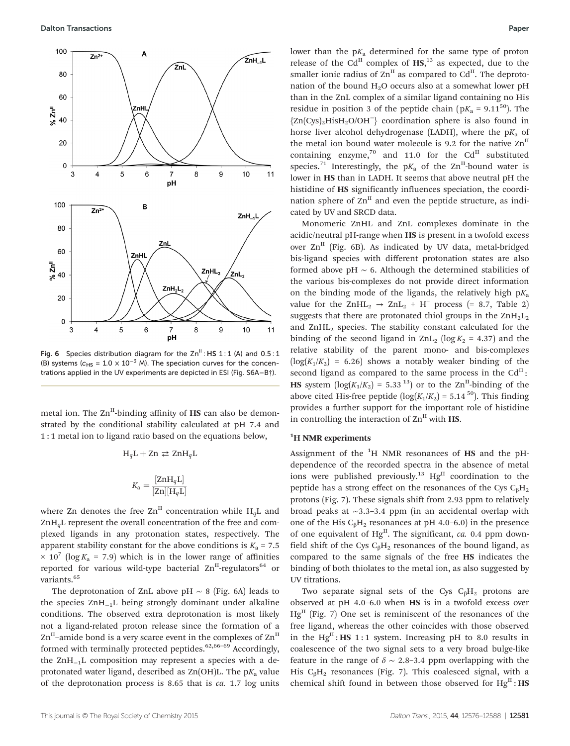

Fig. 6 Species distribution diagram for the  $Zn^{\text{II}}$ : HS 1:1 (A) and 0.5:1 (B) systems ( $c_{\text{HS}} = 1.0 \times 10^{-3}$  M). The speciation curves for the concentrations applied in the UV experiments are depicted in ESI (Fig. S6A–B†).

metal ion. The  $\text{Zn}^{\text{II}}$ -binding affinity of HS can also be demonstrated by the conditional stability calculated at pH 7.4 and 1 : 1 metal ion to ligand ratio based on the equations below,

$$
\begin{array}{c} \mathbf{H}_q \mathbf{L} + \mathbf{Z} \mathbf{n} \rightleftarrows \mathbf{Z} \mathbf{n} \mathbf{H}_q \mathbf{L} \\\\ K_\mathbf{a} = \displaystyle \frac{[\mathbf{Z} \mathbf{n} \mathbf{H}_q \mathbf{L}]}{[\mathbf{Z} \mathbf{n}][\mathbf{H}_q \mathbf{L}]} \end{array}
$$

where Zn denotes the free  $\text{Zn}^{\text{II}}$  concentration while H<sub>a</sub>L and  $ZnH<sub>a</sub>L$  represent the overall concentration of the free and complexed ligands in any protonation states, respectively. The apparent stability constant for the above conditions is  $K_a = 7.5$  $\times$  10<sup>7</sup> (log K<sub>a</sub> = 7.9) which is in the lower range of affinities reported for various wild-type bacterial  $\text{Zn}^{\text{II}}$ -regulators<sup>64</sup> or variants.<sup>65</sup>

The deprotonation of ZnL above pH  $\sim$  8 (Fig. 6A) leads to the species ZnH−1L being strongly dominant under alkaline conditions. The observed extra deprotonation is most likely not a ligand-related proton release since the formation of a  $Zn<sup>H</sup>$ –amide bond is a very scarce event in the complexes of  $Zn<sup>H</sup>$ formed with terminally protected peptides. $62,66-69$  Accordingly, the ZnH−1L composition may represent a species with a deprotonated water ligand, described as  $\text{Zn}(\text{OH})$ L. The p $K_a$  value of the deprotonation process is 8.65 that is ca. 1.7 log units lower than the  $pK_a$  determined for the same type of proton release of the Cd<sup>II</sup> complex of  $\text{HS},^{13}$  as expected, due to the smaller ionic radius of  $\overline{Zn}^{\text{II}}$  as compared to  $\overline{Cd}^{\text{II}}$ . The deprotonation of the bound  $H_2O$  occurs also at a somewhat lower pH than in the ZnL complex of a similar ligand containing no His residue in position 3 of the peptide chain ( $pK_a = 9.11^{50}$ ). The {Zn(Cys)2HisH2O/OH<sup>−</sup>} coordination sphere is also found in horse liver alcohol dehydrogenase (LADH), where the  $pK_a$  of the metal ion bound water molecule is 9.2 for the native  $\text{Zn}^{\text{II}}$ containing enzyme,<sup>70</sup> and 11.0 for the Cd<sup>II</sup> substituted species.<sup>71</sup> Interestingly, the  $pK_a$  of the  $\text{Zn}^{\text{II}}$ -bound water is lower in HS than in LADH. It seems that above neutral pH the histidine of HS significantly influences speciation, the coordination sphere of  $\text{Zn}^{\text{II}}$  and even the peptide structure, as indicated by UV and SRCD data.

Monomeric ZnHL and ZnL complexes dominate in the acidic/neutral pH-range when HS is present in a twofold excess over  $\text{Zn}^{\text{II}}$  (Fig. 6B). As indicated by UV data, metal-bridged bis-ligand species with different protonation states are also formed above pH  $~\sim~$  6. Although the determined stabilities of the various bis-complexes do not provide direct information on the binding mode of the ligands, the relatively high  $pK_a$ value for the  $ZnHL_2 \rightarrow ZnL_2 + H^+$  process (= 8.7, Table 2) suggests that there are protonated thiol groups in the  $\text{ZnH}_{2}\text{L}_{2}$ and ZnHL2 species. The stability constant calculated for the binding of the second ligand in  $\text{ZnL}_2$  (log  $K_2 = 4.37$ ) and the relative stability of the parent mono- and bis-complexes  $(log(K_1/K_2) = 6.26)$  shows a notably weaker binding of the second ligand as compared to the same process in the  $Cd<sup>H</sup>$ : HS system  $(\log(K_1/K_2) = 5.33^{13})$  or to the Zn<sup>II</sup>-binding of the above cited His-free peptide ( $log(K_1/K_2) = 5.14^{50}$ ). This finding provides a further support for the important role of histidine in controlling the interaction of  $\text{Zn}^{\text{II}}$  with **HS.** 

### <sup>1</sup>H NMR experiments

Assignment of the  ${}^{1}H$  NMR resonances of HS and the pHdependence of the recorded spectra in the absence of metal ions were published previously.<sup>13</sup> Hg<sup>II</sup> coordination to the peptide has a strong effect on the resonances of the Cys  $C_8H_2$ protons (Fig. 7). These signals shift from 2.93 ppm to relatively broad peaks at ∼3.3–3.4 ppm (in an accidental overlap with one of the His  $C_0H_2$  resonances at pH 4.0–6.0) in the presence of one equivalent of  $Hg<sup>II</sup>$ . The significant, ca. 0.4 ppm downfield shift of the Cys  $C_6H_2$  resonances of the bound ligand, as compared to the same signals of the free HS indicates the binding of both thiolates to the metal ion, as also suggested by UV titrations.

Two separate signal sets of the Cys  $C_6H_2$  protons are observed at pH 4.0–6.0 when HS is in a twofold excess over  $Hg<sup>II</sup>$  (Fig. 7) One set is reminiscent of the resonances of the free ligand, whereas the other coincides with those observed in the  $Hg<sup>H</sup>$ : HS 1:1 system. Increasing pH to 8.0 results in coalescence of the two signal sets to a very broad bulge-like feature in the range of  $\delta \sim 2.8-3.4$  ppm overlapping with the His  $C_6H_2$  resonances (Fig. 7). This coalesced signal, with a chemical shift found in between those observed for  $Hg<sup>H</sup>$ : HS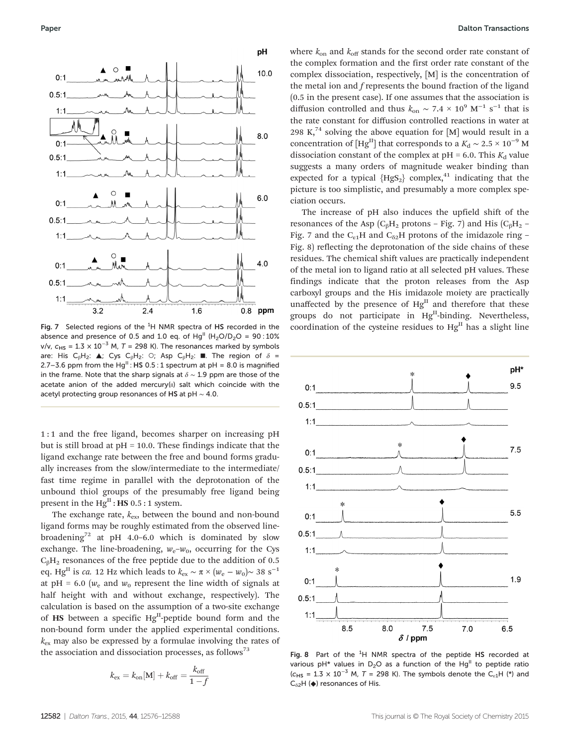

Fig. 7 Selected regions of the  ${}^{1}H$  NMR spectra of HS recorded in the absence and presence of 0.5 and 1.0 eq. of Hg<sup>II</sup> (H<sub>2</sub>O/D<sub>2</sub>O = 90:10% v/v,  $c_{HS} = 1.3 \times 10^{-3}$  M, T = 298 K). The resonances marked by symbols are: His C<sub>β</sub>H<sub>2</sub>:  $\triangle$ ; Cys C<sub>β</sub>H<sub>2</sub>: O; Asp C<sub>β</sub>H<sub>2</sub>: **■**. The region of  $\delta$  = 2.7–3.6 ppm from the Hg<sup>II</sup>: HS 0.5 : 1 spectrum at pH = 8.0 is magnified in the frame. Note that the sharp signals at  $\delta \sim 1.9$  ppm are those of the acetate anion of the added mercury(II) salt which coincide with the acetyl protecting group resonances of HS at pH ∼ 4.0.

1 : 1 and the free ligand, becomes sharper on increasing pH but is still broad at  $pH = 10.0$ . These findings indicate that the ligand exchange rate between the free and bound forms gradually increases from the slow/intermediate to the intermediate/ fast time regime in parallel with the deprotonation of the unbound thiol groups of the presumably free ligand being present in the  $Hg<sup>H</sup>$ : **HS** 0.5 : 1 system.

The exchange rate,  $k_{ex}$ , between the bound and non-bound ligand forms may be roughly estimated from the observed linebroadening<sup>72</sup> at pH 4.0–6.0 which is dominated by slow exchange. The line-broadening,  $w_e-w_0$ , occurring for the Cys  $C_6H_2$  resonances of the free peptide due to the addition of 0.5 eq. Hg<sup>II</sup> is *ca*. 12 Hz which leads to  $k_{ex} \sim \pi \times (w_e - w_0) \sim 38 \text{ s}^{-1}$ at pH = 6.0 ( $w_e$  and  $w_0$  represent the line width of signals at half height with and without exchange, respectively). The calculation is based on the assumption of a two-site exchange of  $\text{HS}$  between a specific Hg<sup>II</sup>-peptide bound form and the non-bound form under the applied experimental conditions.  $k_{ex}$  may also be expressed by a formulae involving the rates of the association and dissociation processes, as follows<sup>73</sup>

$$
k_{\text{ex}} = k_{\text{on}}[\text{M}] + k_{\text{off}} = \frac{k_{\text{off}}}{1 - f}
$$

where  $k_{on}$  and  $k_{off}$  stands for the second order rate constant of the complex formation and the first order rate constant of the complex dissociation, respectively, [M] is the concentration of the metal ion and f represents the bound fraction of the ligand (0.5 in the present case). If one assumes that the association is diffusion controlled and thus  $k_{on} \sim 7.4 \times 10^9$  M<sup>-1</sup> s<sup>-1</sup> that is the rate constant for diffusion controlled reactions in water at 298 K,<sup>74</sup> solving the above equation for [M] would result in a concentration of [Hg<sup>II</sup>] that corresponds to a  $K_d \sim 2.5 \times 10^{-9}$  M dissociation constant of the complex at  $pH = 6.0$ . This  $K_d$  value suggests a many orders of magnitude weaker binding than expected for a typical  ${HgS_2}$  complex,<sup>41</sup> indicating that the picture is too simplistic, and presumably a more complex speciation occurs.

The increase of pH also induces the upfield shift of the resonances of the Asp ( $C_6H_2$  protons – Fig. 7) and His ( $C_6H_2$  – Fig. 7 and the  $C_{61}H$  and  $C_{62}H$  protons of the imidazole ring – Fig. 8) reflecting the deprotonation of the side chains of these residues. The chemical shift values are practically independent of the metal ion to ligand ratio at all selected pH values. These findings indicate that the proton releases from the Asp carboxyl groups and the His imidazole moiety are practically unaffected by the presence of  $Hg<sup>H</sup>$  and therefore that these groups do not participate in  $Hg<sup>H</sup>$ -binding. Nevertheless, coordination of the cysteine residues to  $Hg<sup>II</sup>$  has a slight line



Fig. 8 Part of the  ${}^{1}H$  NMR spectra of the peptide HS recorded at various pH\* values in  $D_2O$  as a function of the Hg<sup>II</sup> to peptide ratio ( $c_{\text{HS}}$  = 1.3 × 10<sup>-3</sup> M, T = 298 K). The symbols denote the C<sub>ε1</sub>H (\*) and  $C_{\delta 2}$ H ( $\blacklozenge$ ) resonances of His.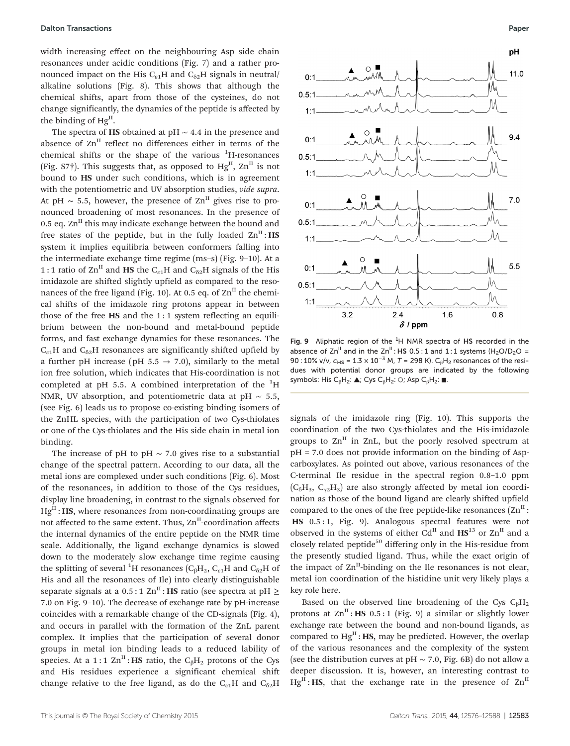width increasing effect on the neighbouring Asp side chain resonances under acidic conditions (Fig. 7) and a rather pronounced impact on the His  $C_{61}H$  and  $C_{62}H$  signals in neutral/ alkaline solutions (Fig. 8). This shows that although the chemical shifts, apart from those of the cysteines, do not change significantly, the dynamics of the peptide is affected by the binding of HgII.

The spectra of HS obtained at pH ∼ 4.4 in the presence and absence of  $Zn<sup>II</sup>$  reflect no differences either in terms of the chemical shifts or the shape of the various <sup>1</sup>H-resonances (Fig. S7<sup>†</sup>). This suggests that, as opposed to  $Hg<sup>H</sup>$ ,  $Zn<sup>H</sup>$  is not bound to HS under such conditions, which is in agreement with the potentiometric and UV absorption studies, vide supra. At pH ~ 5.5, however, the presence of  $\text{Zn}^{\text{II}}$  gives rise to pronounced broadening of most resonances. In the presence of 0.5 eq.  $\text{Zn}^{\text{II}}$  this may indicate exchange between the bound and free states of the peptide, but in the fully loaded  $\text{Zn}^{\text{II}}$ : HS system it implies equilibria between conformers falling into the intermediate exchange time regime (ms–s) (Fig. 9–10). At a 1 : 1 ratio of  $\text{Zn}^{\text{II}}$  and HS the C<sub>ε1</sub>H and C<sub>δ2</sub>H signals of the His imidazole are shifted slightly upfield as compared to the resonances of the free ligand (Fig. 10). At 0.5 eq. of  $\text{Zn}^{\text{II}}$  the chemical shifts of the imidazole ring protons appear in between those of the free  $HS$  and the 1:1 system reflecting an equilibrium between the non-bound and metal-bound peptide forms, and fast exchange dynamics for these resonances. The  $C_{61}H$  and  $C_{62}H$  resonances are significantly shifted upfield by a further pH increase (pH  $5.5 \rightarrow 7.0$ ), similarly to the metal ion free solution, which indicates that His-coordination is not completed at pH 5.5. A combined interpretation of the  ${}^{1}$ H NMR, UV absorption, and potentiometric data at pH  $\sim$  5.5, (see Fig. 6) leads us to propose co-existing binding isomers of the ZnHL species, with the participation of two Cys-thiolates or one of the Cys-thiolates and the His side chain in metal ion binding.

The increase of pH to pH  $\sim$  7.0 gives rise to a substantial change of the spectral pattern. According to our data, all the metal ions are complexed under such conditions (Fig. 6). Most of the resonances, in addition to those of the Cys residues, display line broadening, in contrast to the signals observed for  $Hg<sup>H</sup>$ : HS, where resonances from non-coordinating groups are not affected to the same extent. Thus,  $\text{Zn}^{\text{II}}$ -coordination affects the internal dynamics of the entire peptide on the NMR time scale. Additionally, the ligand exchange dynamics is slowed down to the moderately slow exchange time regime causing the splitting of several <sup>1</sup>H resonances ( $\rm{C_6H_2,\,C_{\epsilon1}H}$  and  $\rm{C_{\delta2}H}$  of His and all the resonances of Ile) into clearly distinguishable separate signals at a  $0.5:1 \text{ Zn}^{\text{II}}$ : HS ratio (see spectra at pH  $\geq$ 7.0 on Fig. 9–10). The decrease of exchange rate by pH-increase coincides with a remarkable change of the CD-signals (Fig. 4), and occurs in parallel with the formation of the ZnL parent complex. It implies that the participation of several donor groups in metal ion binding leads to a reduced lability of species. At a 1:1  $\text{Zn}^{\text{II}}$ : HS ratio, the C<sub>β</sub>H<sub>2</sub> protons of the Cys and His residues experience a significant chemical shift change relative to the free ligand, as do the  $C_{\epsilon 1}H$  and  $C_{\delta 2}H$ 



Fig. 9 Aliphatic region of the  ${}^{1}H$  NMR spectra of HS recorded in the absence of  $\text{Zn}^{\text{II}}$  and in the  $\text{Zn}^{\text{II}}$ : HS 0.5 : 1 and 1 : 1 systems (H<sub>2</sub>O/D<sub>2</sub>O = 90 : 10% v/v,  $c_{HS} = 1.3 \times 10^{-3}$  M, T = 298 K). C<sub>B</sub>H<sub>2</sub> resonances of the residues with potential donor groups are indicated by the following symbols: His C<sub>β</sub>H<sub>2</sub>:  $\triangle$ ; Cys C<sub>β</sub>H<sub>2</sub>: O; Asp C<sub>β</sub>H<sub>2</sub>:  $\blacksquare$ .

signals of the imidazole ring (Fig. 10). This supports the coordination of the two Cys-thiolates and the His-imidazole groups to  $\text{Zn}^{\text{II}}$  in ZnL, but the poorly resolved spectrum at pH = 7.0 does not provide information on the binding of Aspcarboxylates. As pointed out above, various resonances of the C-terminal Ile residue in the spectral region 0.8–1.0 ppm  $(C_6H_3, C_{\gamma}H_3)$  are also strongly affected by metal ion coordination as those of the bound ligand are clearly shifted upfield compared to the ones of the free peptide-like resonances  $(Zn^{II})$ : HS 0.5 : 1, Fig. 9). Analogous spectral features were not observed in the systems of either Cd<sup>II</sup> and  $\text{HS}^{13}$  or  $\text{Zn}^{II}$  and a closely related peptide<sup>50</sup> differing only in the His-residue from the presently studied ligand. Thus, while the exact origin of the impact of  $\text{Zn}^{\text{II}}$ -binding on the Ile resonances is not clear, metal ion coordination of the histidine unit very likely plays a key role here.

Based on the observed line broadening of the Cys  $C_8H_2$ protons at  $\text{Zn}^{\text{II}}$ : HS 0.5:1 (Fig. 9) a similar or slightly lower exchange rate between the bound and non-bound ligands, as compared to  $Hg<sup>H</sup>$ : HS, may be predicted. However, the overlap of the various resonances and the complexity of the system (see the distribution curves at pH  $\sim$  7.0, Fig. 6B) do not allow a deeper discussion. It is, however, an interesting contrast to  $Hg<sup>H</sup>$ : HS, that the exchange rate in the presence of  $Zn<sup>H</sup>$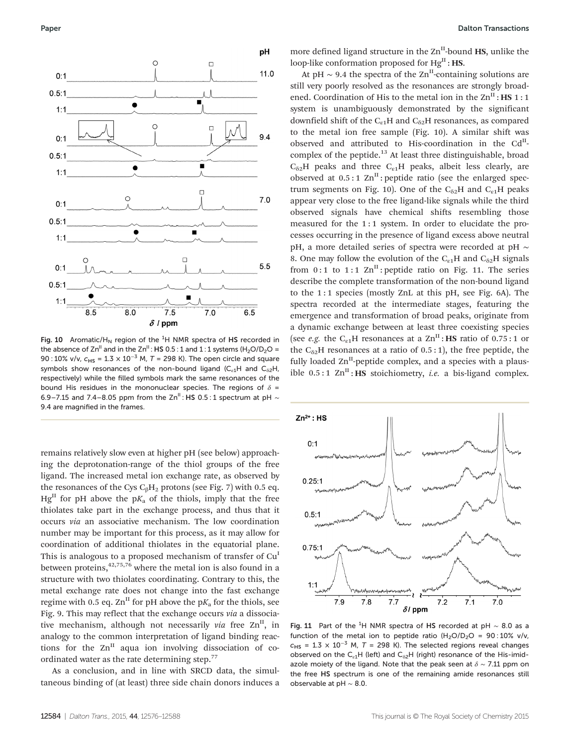

Fig. 10 Aromatic/H<sub>N</sub> region of the  ${}^{1}H$  NMR spectra of HS recorded in the absence of  $\text{Zn}^{\text{II}}$  and in the  $\text{Zn}^{\text{II}}$  : HS 0.5 : 1 and 1 : 1 systems (H<sub>2</sub>O/D<sub>2</sub>O = 90 : 10% v/v,  $c_{HS} = 1.3 \times 10^{-3}$  M, T = 298 K). The open circle and square symbols show resonances of the non-bound ligand  $(C_{\varepsilon1}H$  and  $C_{\delta2}H$ , respectively) while the filled symbols mark the same resonances of the bound His residues in the mononuclear species. The regions of  $\delta$  = 6.9–7.15 and 7.4–8.05 ppm from the Zn<sup>II</sup> : HS 0.5 : 1 spectrum at pH  $\sim$ 9.4 are magnified in the frames.

remains relatively slow even at higher pH (see below) approaching the deprotonation-range of the thiol groups of the free ligand. The increased metal ion exchange rate, as observed by the resonances of the Cys  $C_8H_2$  protons (see Fig. 7) with 0.5 eq.  $Hg<sup>II</sup>$  for pH above the p $K<sub>a</sub>$  of the thiols, imply that the free thiolates take part in the exchange process, and thus that it occurs via an associative mechanism. The low coordination number may be important for this process, as it may allow for coordination of additional thiolates in the equatorial plane. This is analogous to a proposed mechanism of transfer of Cu<sup>I</sup> between proteins, $4^{2,75,76}$  where the metal ion is also found in a structure with two thiolates coordinating. Contrary to this, the metal exchange rate does not change into the fast exchange regime with 0.5 eq.  $\text{Zn}^{\text{II}}$  for pH above the p $K_a$  for the thiols, see Fig. 9. This may reflect that the exchange occurs via a dissociative mechanism, although not necessarily via free  $\text{Zn}^{\text{II}}$ , in analogy to the common interpretation of ligand binding reactions for the  $Zn$ <sup>II</sup> aqua ion involving dissociation of coordinated water as the rate determining step.<sup>77</sup>

As a conclusion, and in line with SRCD data, the simultaneous binding of (at least) three side chain donors induces a

more defined ligand structure in the  $\text{Zn}^{\text{II}}$ -bound HS, unlike the loop-like conformation proposed for  $Hg^{II}$ : **HS.** 

At pH  $\sim$  9.4 the spectra of the Zn<sup>II</sup>-containing solutions are still very poorly resolved as the resonances are strongly broadened. Coordination of His to the metal ion in the  $\text{Zn}^{\text{II}}$ : HS 1:1 system is unambiguously demonstrated by the significant downfield shift of the  $C_{61}H$  and  $C_{62}H$  resonances, as compared to the metal ion free sample (Fig. 10). A similar shift was observed and attributed to His-coordination in the Cd<sup>II</sup>complex of the peptide.<sup>13</sup> At least three distinguishable, broad  $C_{62}$ H peaks and three  $C_{c1}$ H peaks, albeit less clearly, are observed at  $0.5:1$  Zn<sup>II</sup>: peptide ratio (see the enlarged spectrum segments on Fig. 10). One of the  $C_{\delta 2}H$  and  $C_{\epsilon 1}H$  peaks appear very close to the free ligand-like signals while the third observed signals have chemical shifts resembling those measured for the 1:1 system. In order to elucidate the processes occurring in the presence of ligand excess above neutral pH, a more detailed series of spectra were recorded at pH ∼ 8. One may follow the evolution of the  $C_{\alpha 1}H$  and  $C_{\alpha 2}H$  signals from  $0:1$  to  $1:1$   $\text{Zn}^{\text{II}}$ : peptide ratio on Fig. 11. The series describe the complete transformation of the non-bound ligand to the 1 : 1 species (mostly ZnL at this pH, see Fig. 6A). The spectra recorded at the intermediate stages, featuring the emergence and transformation of broad peaks, originate from a dynamic exchange between at least three coexisting species (see *e.g.* the C<sub>e1</sub>H resonances at a Zn<sup>II</sup>: **HS** ratio of 0.75:1 or the  $C_{\delta 2}$ H resonances at a ratio of 0.5 : 1), the free peptide, the fully loaded  $Zn^{II}$ -peptide complex, and a species with a plausible  $0.5:1$  Zn<sup>II</sup>: HS stoichiometry, *i.e.* a bis-ligand complex.



Fig. 11 Part of the <sup>1</sup>H NMR spectra of HS recorded at pH  $\sim$  8.0 as a function of the metal ion to peptide ratio  $(H_2O/D_2O = 90:10\%$  v/v,  $c_{\text{HS}}$  = 1.3 × 10<sup>-3</sup> M, T = 298 K). The selected regions reveal changes observed on the  $C_{\varepsilon1}H$  (left) and  $C_{\delta2}H$  (right) resonance of the His-imidazole moiety of the ligand. Note that the peak seen at  $\delta \sim 7.11$  ppm on the free HS spectrum is one of the remaining amide resonances still observable at pH ∼ 8.0.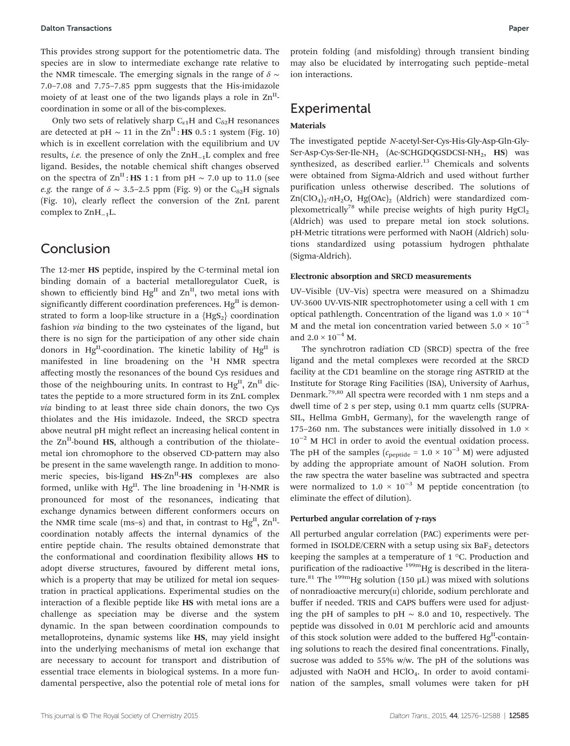This provides strong support for the potentiometric data. The species are in slow to intermediate exchange rate relative to the NMR timescale. The emerging signals in the range of  $\delta \sim$ 7.0–7.08 and 7.75–7.85 ppm suggests that the His-imidazole moiety of at least one of the two ligands plays a role in  $\text{Zn}^{\text{II}}$ coordination in some or all of the bis-complexes.

Only two sets of relatively sharp  $C_{\epsilon 1}H$  and  $C_{\delta 2}H$  resonances are detected at pH  $\sim 11$  in the Zn<sup>II</sup>: **HS** 0.5 : 1 system (Fig. 10) which is in excellent correlation with the equilibrium and UV results, i.e. the presence of only the ZnH−1L complex and free ligand. Besides, the notable chemical shift changes observed on the spectra of  $\text{Zn}^{\text{II}}$ : HS 1 : 1 from pH ~ 7.0 up to 11.0 (see e.g. the range of  $\delta \sim 3.5$ –2.5 ppm (Fig. 9) or the C<sub>δ2</sub>H signals (Fig. 10), clearly reflect the conversion of the ZnL parent complex to ZnH−1L.

### Conclusion

The 12-mer HS peptide, inspired by the C-terminal metal ion binding domain of a bacterial metalloregulator CueR, is shown to efficiently bind  $Hg<sup>H</sup>$  and  $Zn<sup>H</sup>$ , two metal ions with significantly different coordination preferences.  $Hg<sup>H</sup>$  is demonstrated to form a loop-like structure in a  ${HgS_2}$  coordination fashion via binding to the two cysteinates of the ligand, but there is no sign for the participation of any other side chain donors in Hg<sup>II</sup>-coordination. The kinetic lability of Hg<sup>II</sup> is manifested in line broadening on the <sup>1</sup>H NMR spectra affecting mostly the resonances of the bound Cys residues and those of the neighbouring units. In contrast to  $Hg<sup>H</sup>$ ,  $Zn<sup>H</sup>$  dictates the peptide to a more structured form in its ZnL complex via binding to at least three side chain donors, the two Cys thiolates and the His imidazole. Indeed, the SRCD spectra above neutral pH might reflect an increasing helical content in the  $\text{Zn}^{\text{II}}$ -bound HS, although a contribution of the thiolatemetal ion chromophore to the observed CD-pattern may also be present in the same wavelength range. In addition to monomeric species, bis-ligand  $HS-Zn<sup>H</sup>-HS$  complexes are also formed, unlike with  $Hg^{II}$ . The line broadening in  $^{1}$ H-NMR is pronounced for most of the resonances, indicating that exchange dynamics between different conformers occurs on the NMR time scale (ms-s) and that, in contrast to  $Hg<sup>H</sup>$ ,  $Zn<sup>H</sup>$ coordination notably affects the internal dynamics of the entire peptide chain. The results obtained demonstrate that the conformational and coordination flexibility allows HS to adopt diverse structures, favoured by different metal ions, which is a property that may be utilized for metal ion sequestration in practical applications. Experimental studies on the interaction of a flexible peptide like HS with metal ions are a challenge as speciation may be diverse and the system dynamic. In the span between coordination compounds to metalloproteins, dynamic systems like HS, may yield insight into the underlying mechanisms of metal ion exchange that are necessary to account for transport and distribution of essential trace elements in biological systems. In a more fundamental perspective, also the potential role of metal ions for protein folding (and misfolding) through transient binding may also be elucidated by interrogating such peptide–metal ion interactions.

### Experimental

#### Materials

The investigated peptide N-acetyl-Ser-Cys-His-Gly-Asp-Gln-Gly-Ser-Asp-Cys-Ser-Ile-NH<sub>2</sub> (Ac-SCHGDQGSDCSI-NH<sub>2</sub>, HS) was synthesized, as described earlier.<sup>13</sup> Chemicals and solvents were obtained from Sigma-Aldrich and used without further purification unless otherwise described. The solutions of  $Zn(CIO_4)_2 \cdot nH_2O$ ,  $Hg(OAc)_2$  (Aldrich) were standardized complexometrically<sup>78</sup> while precise weights of high purity  $HgCl<sub>2</sub>$ (Aldrich) was used to prepare metal ion stock solutions. pH-Metric titrations were performed with NaOH (Aldrich) solutions standardized using potassium hydrogen phthalate (Sigma-Aldrich).

#### Electronic absorption and SRCD measurements

UV–Visible (UV–Vis) spectra were measured on a Shimadzu UV-3600 UV-VIS-NIR spectrophotometer using a cell with 1 cm optical pathlength. Concentration of the ligand was  $1.0 \times 10^{-4}$ M and the metal ion concentration varied between  $5.0 \times 10^{-5}$ and  $2.0 \times 10^{-4}$  M.

The synchrotron radiation CD (SRCD) spectra of the free ligand and the metal complexes were recorded at the SRCD facility at the CD1 beamline on the storage ring ASTRID at the Institute for Storage Ring Facilities (ISA), University of Aarhus, Denmark.79,80 All spectra were recorded with 1 nm steps and a dwell time of 2 s per step, using 0.1 mm quartz cells (SUPRA-SIL, Hellma GmbH, Germany), for the wavelength range of 175–260 nm. The substances were initially dissolved in 1.0  $\times$ 10−<sup>2</sup> M HCl in order to avoid the eventual oxidation process. The pH of the samples ( $c_{\text{peptide}} = 1.0 \times 10^{-3}$  M) were adjusted by adding the appropriate amount of NaOH solution. From the raw spectra the water baseline was subtracted and spectra were normalized to  $1.0 \times 10^{-3}$  M peptide concentration (to eliminate the effect of dilution).

#### Perturbed angular correlation of γ-rays

All perturbed angular correlation (PAC) experiments were performed in ISOLDE/CERN with a setup using six  $BaF<sub>2</sub>$  detectors keeping the samples at a temperature of 1 °C. Production and purification of the radioactive  $^{199m}$ Hg is described in the literature.<sup>81</sup> The <sup>199m</sup>Hg solution (150  $\mu$ L) was mixed with solutions of nonradioactive mercury $(n)$  chloride, sodium perchlorate and buffer if needed. TRIS and CAPS buffers were used for adjusting the pH of samples to pH  $\sim$  8.0 and 10, respectively. The peptide was dissolved in 0.01 M perchloric acid and amounts of this stock solution were added to the buffered  $Hg<sup>H</sup>$ -containing solutions to reach the desired final concentrations. Finally, sucrose was added to 55% w/w. The pH of the solutions was adjusted with NaOH and HClO<sub>4</sub>. In order to avoid contamination of the samples, small volumes were taken for pH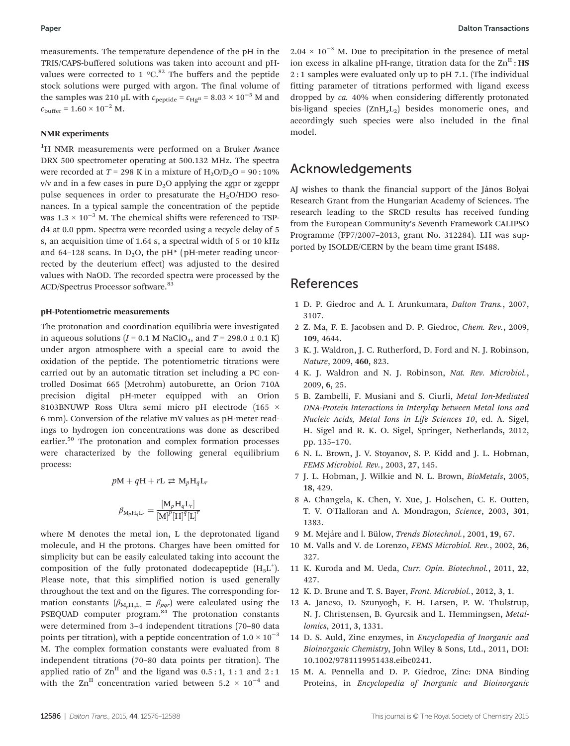measurements. The temperature dependence of the pH in the TRIS/CAPS-buffered solutions was taken into account and pHvalues were corrected to 1  $^{\circ}$ C.<sup>82</sup> The buffers and the peptide stock solutions were purged with argon. The final volume of the samples was 210 µL with  $c_{\text{peptide}} = c_{\text{Hg}^{\text{II}}} = 8.03 \times 10^{-5}$  M and  $c_{\text{buffer}} = 1.60 \times 10^{-2}$  M.

#### NMR experiments

<sup>1</sup>H NMR measurements were performed on a Bruker Avance DRX 500 spectrometer operating at 500.132 MHz. The spectra were recorded at  $T = 298$  K in a mixture of  $H_2O/D_2O = 90:10\%$  $v/v$  and in a few cases in pure  $D<sub>2</sub>O$  applying the zgpr or zgcppr pulse sequences in order to presaturate the  $H<sub>2</sub>O/HDO$  resonances. In a typical sample the concentration of the peptide was  $1.3 \times 10^{-3}$  M. The chemical shifts were referenced to TSPd4 at 0.0 ppm. Spectra were recorded using a recycle delay of 5 s, an acquisition time of 1.64 s, a spectral width of 5 or 10 kHz and 64–128 scans. In  $D_2O$ , the pH<sup>\*</sup> (pH-meter reading uncorrected by the deuterium effect) was adjusted to the desired values with NaOD. The recorded spectra were processed by the ACD/Spectrus Processor software.<sup>83</sup>

#### pH-Potentiometric measurements

The protonation and coordination equilibria were investigated in aqueous solutions ( $I = 0.1$  M NaClO<sub>4</sub>, and  $T = 298.0 \pm 0.1$  K) under argon atmosphere with a special care to avoid the oxidation of the peptide. The potentiometric titrations were carried out by an automatic titration set including a PC controlled Dosimat 665 (Metrohm) autoburette, an Orion 710A precision digital pH-meter equipped with an Orion 8103BNUWP Ross Ultra semi micro pH electrode (165 × 6 mm). Conversion of the relative mV values as pH-meter readings to hydrogen ion concentrations was done as described earlier.<sup>50</sup> The protonation and complex formation processes were characterized by the following general equilibrium process:

$$
pM + qH + rL \ge M_pH_qL_r
$$
  

$$
\beta_{M_pH_qL_r} = \frac{[M_pH_qL_r]}{[M]^p[H]^q[L]^r}
$$

where M denotes the metal ion, L the deprotonated ligand molecule, and H the protons. Charges have been omitted for simplicity but can be easily calculated taking into account the composition of the fully protonated dodecapeptide  $(H_5L^+)$ . Please note, that this simplified notion is used generally throughout the text and on the figures. The corresponding formation constants  $(\beta_{M,H,L_r} \equiv \beta_{pqr})$  were calculated using the PSEQUAD computer program.<sup>84</sup> The protonation constants were determined from 3–4 independent titrations (70–80 data points per titration), with a peptide concentration of  $1.0 \times 10^{-3}$ M. The complex formation constants were evaluated from 8 independent titrations (70–80 data points per titration). The applied ratio of  $\text{Zn}^{\text{II}}$  and the ligand was 0.5 : 1, 1 : 1 and 2 : 1 with the  $\text{Zn}^{\text{II}}$  concentration varied between 5.2 × 10<sup>-4</sup> and

 $2.04 \times 10^{-3}$  M. Due to precipitation in the presence of metal ion excess in alkaline pH-range, titration data for the  $\text{Zn}^{\text{II}}$ : HS 2 : 1 samples were evaluated only up to pH 7.1. (The individual fitting parameter of titrations performed with ligand excess dropped by ca. 40% when considering differently protonated bis-ligand species  $(ZnH<sub>r</sub>L<sub>2</sub>)$  besides monomeric ones, and accordingly such species were also included in the final model.

### Acknowledgements

AJ wishes to thank the financial support of the János Bolyai Research Grant from the Hungarian Academy of Sciences. The research leading to the SRCD results has received funding from the European Community's Seventh Framework CALIPSO Programme (FP7/2007–2013, grant No. 312284). LH was supported by ISOLDE/CERN by the beam time grant IS488.

### References

- 1 D. P. Giedroc and A. I. Arunkumara, Dalton Trans., 2007, 3107.
- 2 Z. Ma, F. E. Jacobsen and D. P. Giedroc, Chem. Rev., 2009, 109, 4644.
- 3 K. J. Waldron, J. C. Rutherford, D. Ford and N. J. Robinson, Nature, 2009, 460, 823.
- 4 K. J. Waldron and N. J. Robinson, Nat. Rev. Microbiol., 2009, 6, 25.
- 5 B. Zambelli, F. Musiani and S. Ciurli, Metal Ion-Mediated DNA-Protein Interactions in Interplay between Metal Ions and Nucleic Acids, Metal Ions in Life Sciences 10, ed. A. Sigel, H. Sigel and R. K. O. Sigel, Springer, Netherlands, 2012, pp. 135–170.
- 6 N. L. Brown, J. V. Stoyanov, S. P. Kidd and J. L. Hobman, FEMS Microbiol. Rev., 2003, 27, 145.
- 7 J. L. Hobman, J. Wilkie and N. L. Brown, BioMetals, 2005, 18, 429.
- 8 A. Changela, K. Chen, Y. Xue, J. Holschen, C. E. Outten, T. V. O'Halloran and A. Mondragon, Science, 2003, 301, 1383.
- 9 M. Mejáre and l. Bülow, Trends Biotechnol., 2001, 19, 67.
- 10 M. Valls and V. de Lorenzo, FEMS Microbiol. Rev., 2002, 26, 327.
- 11 K. Kuroda and M. Ueda, Curr. Opin. Biotechnol., 2011, 22, 427.
- 12 K. D. Brune and T. S. Bayer, Front. Microbiol., 2012, 3, 1.
- 13 A. Jancso, D. Szunyogh, F. H. Larsen, P. W. Thulstrup, N. J. Christensen, B. Gyurcsik and L. Hemmingsen, Metallomics, 2011, 3, 1331.
- 14 D. S. Auld, Zinc enzymes, in Encyclopedia of Inorganic and Bioinorganic Chemistry, John Wiley & Sons, Ltd., 2011, DOI: 10.1002/9781119951438.eibc0241.
- 15 M. A. Pennella and D. P. Giedroc, Zinc: DNA Binding Proteins, in Encyclopedia of Inorganic and Bioinorganic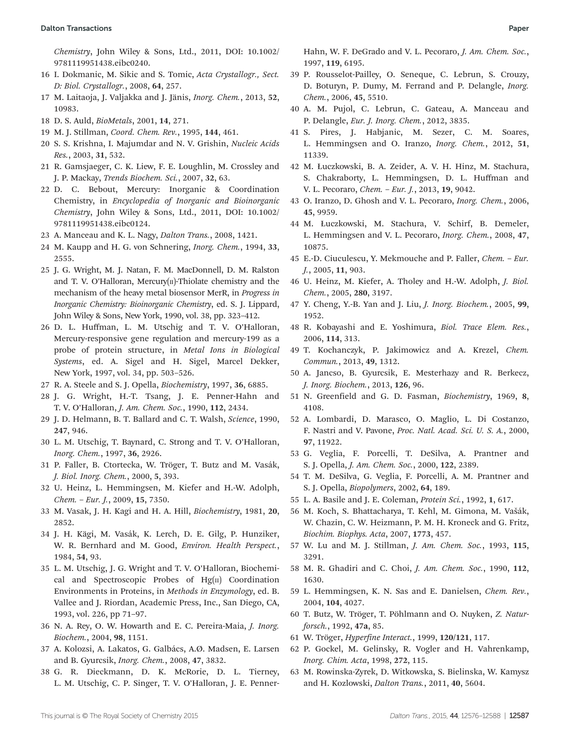Chemistry, John Wiley & Sons, Ltd., 2011, DOI: 10.1002/ 9781119951438.eibc0240.

- 16 I. Dokmanic, M. Sikic and S. Tomic, Acta Crystallogr., Sect. D: Biol. Crystallogr., 2008, 64, 257.
- 17 M. Laitaoja, J. Valjakka and J. Jänis, Inorg. Chem., 2013, 52, 10983.
- 18 D. S. Auld, BioMetals, 2001, 14, 271.
- 19 M. J. Stillman, Coord. Chem. Rev., 1995, 144, 461.
- 20 S. S. Krishna, I. Majumdar and N. V. Grishin, Nucleic Acids Res., 2003, 31, 532.
- 21 R. Gamsjaeger, C. K. Liew, F. E. Loughlin, M. Crossley and J. P. Mackay, Trends Biochem. Sci., 2007, 32, 63.
- 22 D. C. Bebout, Mercury: Inorganic & Coordination Chemistry, in Encyclopedia of Inorganic and Bioinorganic Chemistry, John Wiley & Sons, Ltd., 2011, DOI: 10.1002/ 9781119951438.eibc0124.
- 23 A. Manceau and K. L. Nagy, Dalton Trans., 2008, 1421.
- 24 M. Kaupp and H. G. von Schnering, Inorg. Chem., 1994, 33, 2555.
- 25 J. G. Wright, M. J. Natan, F. M. MacDonnell, D. M. Ralston and T. V. O'Halloran, Mercury $[n]$ -Thiolate chemistry and the mechanism of the heavy metal biosensor MerR, in Progress in Inorganic Chemistry: Bioinorganic Chemistry, ed. S. J. Lippard, John Wiley & Sons, New York, 1990, vol. 38, pp. 323–412.
- 26 D. L. Huffman, L. M. Utschig and T. V. O'Halloran, Mercury-responsive gene regulation and mercury-199 as a probe of protein structure, in Metal Ions in Biological Systems, ed. A. Sigel and H. Sigel, Marcel Dekker, New York, 1997, vol. 34, pp. 503–526.
- 27 R. A. Steele and S. J. Opella, Biochemistry, 1997, 36, 6885.
- 28 J. G. Wright, H.-T. Tsang, J. E. Penner-Hahn and T. V. O'Halloran, J. Am. Chem. Soc., 1990, 112, 2434.
- 29 J. D. Helmann, B. T. Ballard and C. T. Walsh, Science, 1990, 247, 946.
- 30 L. M. Utschig, T. Baynard, C. Strong and T. V. O'Halloran, Inorg. Chem., 1997, 36, 2926.
- 31 P. Faller, B. Ctortecka, W. Tröger, T. Butz and M. Vasák, J. Biol. Inorg. Chem., 2000, 5, 393.
- 32 U. Heinz, L. Hemmingsen, M. Kiefer and H.-W. Adolph, Chem. – Eur. J., 2009, 15, 7350.
- 33 M. Vasak, J. H. Kagi and H. A. Hill, Biochemistry, 1981, 20, 2852.
- 34 J. H. Kägi, M. Vasák, K. Lerch, D. E. Gilg, P. Hunziker, W. R. Bernhard and M. Good, Environ. Health Perspect., 1984, 54, 93.
- 35 L. M. Utschig, J. G. Wright and T. V. O'Halloran, Biochemical and Spectroscopic Probes of Hg(II) Coordination Environments in Proteins, in Methods in Enzymology, ed. B. Vallee and J. Riordan, Academic Press, Inc., San Diego, CA, 1993, vol. 226, pp 71–97.
- 36 N. A. Rey, O. W. Howarth and E. C. Pereira-Maia, J. Inorg. Biochem., 2004, 98, 1151.
- 37 A. Kolozsi, A. Lakatos, G. Galbács, A.Ø. Madsen, E. Larsen and B. Gyurcsik, Inorg. Chem., 2008, 47, 3832.
- 38 G. R. Dieckmann, D. K. McRorie, D. L. Tierney, L. M. Utschig, C. P. Singer, T. V. O'Halloran, J. E. Penner-

Hahn, W. F. DeGrado and V. L. Pecoraro, J. Am. Chem. Soc., 1997, 119, 6195.

- 39 P. Rousselot-Pailley, O. Seneque, C. Lebrun, S. Crouzy, D. Boturyn, P. Dumy, M. Ferrand and P. Delangle, Inorg. Chem., 2006, 45, 5510.
- 40 A. M. Pujol, C. Lebrun, C. Gateau, A. Manceau and P. Delangle, Eur. J. Inorg. Chem., 2012, 3835.
- 41 S. Pires, J. Habjanic, M. Sezer, C. M. Soares, L. Hemmingsen and O. Iranzo, Inorg. Chem., 2012, 51, 11339.
- 42 M. Łuczkowski, B. A. Zeider, A. V. H. Hinz, M. Stachura, S. Chakraborty, L. Hemmingsen, D. L. Huffman and V. L. Pecoraro, Chem. – Eur. J., 2013, 19, 9042.
- 43 O. Iranzo, D. Ghosh and V. L. Pecoraro, Inorg. Chem., 2006, 45, 9959.
- 44 M. Łuczkowski, M. Stachura, V. Schirf, B. Demeler, L. Hemmingsen and V. L. Pecoraro, Inorg. Chem., 2008, 47, 10875.
- 45 E.-D. Ciuculescu, Y. Mekmouche and P. Faller, Chem. Eur. J., 2005, 11, 903.
- 46 U. Heinz, M. Kiefer, A. Tholey and H.-W. Adolph, J. Biol. Chem., 2005, 280, 3197.
- 47 Y. Cheng, Y.-B. Yan and J. Liu, J. Inorg. Biochem., 2005, 99, 1952.
- 48 R. Kobayashi and E. Yoshimura, Biol. Trace Elem. Res., 2006, 114, 313.
- 49 T. Kochanczyk, P. Jakimowicz and A. Krezel, Chem. Commun., 2013, 49, 1312.
- 50 A. Jancso, B. Gyurcsik, E. Mesterhazy and R. Berkecz, J. Inorg. Biochem., 2013, 126, 96.
- 51 N. Greenfield and G. D. Fasman, Biochemistry, 1969, 8, 4108.
- 52 A. Lombardi, D. Marasco, O. Maglio, L. Di Costanzo, F. Nastri and V. Pavone, Proc. Natl. Acad. Sci. U. S. A., 2000, 97, 11922.
- 53 G. Veglia, F. Porcelli, T. DeSilva, A. Prantner and S. J. Opella, J. Am. Chem. Soc., 2000, 122, 2389.
- 54 T. M. DeSilva, G. Veglia, F. Porcelli, A. M. Prantner and S. J. Opella, Biopolymers, 2002, 64, 189.
- 55 L. A. Basile and J. E. Coleman, Protein Sci., 1992, 1, 617.
- 56 M. Koch, S. Bhattacharya, T. Kehl, M. Gimona, M. Vašák, W. Chazin, C. W. Heizmann, P. M. H. Kroneck and G. Fritz, Biochim. Biophys. Acta, 2007, 1773, 457.
- 57 W. Lu and M. J. Stillman, J. Am. Chem. Soc., 1993, 115, 3291.
- 58 M. R. Ghadiri and C. Choi, J. Am. Chem. Soc., 1990, 112, 1630.
- 59 L. Hemmingsen, K. N. Sas and E. Danielsen, Chem. Rev., 2004, 104, 4027.
- 60 T. Butz, W. Tröger, T. Pöhlmann and O. Nuyken, Z. Naturforsch., 1992, 47a, 85.
- 61 W. Tröger, Hyperfine Interact., 1999, 120/121, 117.
- 62 P. Gockel, M. Gelinsky, R. Vogler and H. Vahrenkamp, Inorg. Chim. Acta, 1998, 272, 115.
- 63 M. Rowinska-Zyrek, D. Witkowska, S. Bielinska, W. Kamysz and H. Kozlowski, Dalton Trans., 2011, 40, 5604.